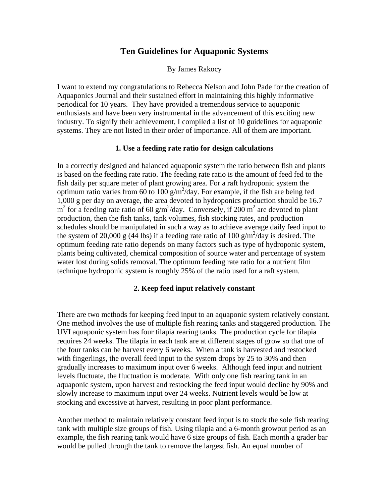# **Ten Guidelines for Aquaponic Systems**

By James Rakocy

I want to extend my congratulations to Rebecca Nelson and John Pade for the creation of Aquaponics Journal and their sustained effort in maintaining this highly informative periodical for 10 years. They have provided a tremendous service to aquaponic enthusiasts and have been very instrumental in the advancement of this exciting new industry. To signify their achievement, I compiled a list of 10 guidelines for aquaponic systems. They are not listed in their order of importance. All of them are important.

### **1. Use a feeding rate ratio for design calculations**

In a correctly designed and balanced aquaponic system the ratio between fish and plants is based on the feeding rate ratio. The feeding rate ratio is the amount of feed fed to the fish daily per square meter of plant growing area. For a raft hydroponic system the optimum ratio varies from 60 to 100  $g/m^2$ /day. For example, if the fish are being fed 1,000 g per day on average, the area devoted to hydroponics production should be 16.7  $m<sup>2</sup>$  for a feeding rate ratio of 60 g/m<sup>2</sup>/day. Conversely, if 200 m<sup>2</sup> are devoted to plant production, then the fish tanks, tank volumes, fish stocking rates, and production schedules should be manipulated in such a way as to achieve average daily feed input to the system of 20,000 g (44 lbs) if a feeding rate ratio of 100 g/m<sup>2</sup>/day is desired. The optimum feeding rate ratio depends on many factors such as type of hydroponic system, plants being cultivated, chemical composition of source water and percentage of system water lost during solids removal. The optimum feeding rate ratio for a nutrient film technique hydroponic system is roughly 25% of the ratio used for a raft system.

#### **2. Keep feed input relatively constant**

There are two methods for keeping feed input to an aquaponic system relatively constant. One method involves the use of multiple fish rearing tanks and staggered production. The UVI aquaponic system has four tilapia rearing tanks. The production cycle for tilapia requires 24 weeks. The tilapia in each tank are at different stages of grow so that one of the four tanks can be harvest every 6 weeks. When a tank is harvested and restocked with fingerlings, the overall feed input to the system drops by 25 to 30% and then gradually increases to maximum input over 6 weeks. Although feed input and nutrient levels fluctuate, the fluctuation is moderate. With only one fish rearing tank in an aquaponic system, upon harvest and restocking the feed input would decline by 90% and slowly increase to maximum input over 24 weeks. Nutrient levels would be low at stocking and excessive at harvest, resulting in poor plant performance.

Another method to maintain relatively constant feed input is to stock the sole fish rearing tank with multiple size groups of fish. Using tilapia and a 6-month growout period as an example, the fish rearing tank would have 6 size groups of fish. Each month a grader bar would be pulled through the tank to remove the largest fish. An equal number of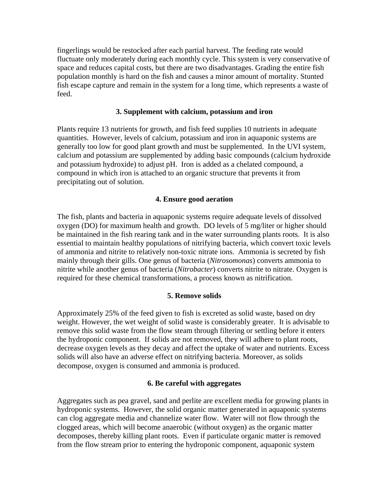fingerlings would be restocked after each partial harvest. The feeding rate would fluctuate only moderately during each monthly cycle. This system is very conservative of space and reduces capital costs, but there are two disadvantages. Grading the entire fish population monthly is hard on the fish and causes a minor amount of mortality. Stunted fish escape capture and remain in the system for a long time, which represents a waste of feed.

## **3. Supplement with calcium, potassium and iron**

Plants require 13 nutrients for growth, and fish feed supplies 10 nutrients in adequate quantities. However, levels of calcium, potassium and iron in aquaponic systems are generally too low for good plant growth and must be supplemented. In the UVI system, calcium and potassium are supplemented by adding basic compounds (calcium hydroxide and potassium hydroxide) to adjust pH. Iron is added as a chelated compound, a compound in which iron is attached to an organic structure that prevents it from precipitating out of solution.

## **4. Ensure good aeration**

The fish, plants and bacteria in aquaponic systems require adequate levels of dissolved oxygen (DO) for maximum health and growth. DO levels of 5 mg/liter or higher should be maintained in the fish rearing tank and in the water surrounding plants roots. It is also essential to maintain healthy populations of nitrifying bacteria, which convert toxic levels of ammonia and nitrite to relatively non-toxic nitrate ions. Ammonia is secreted by fish mainly through their gills. One genus of bacteria (*Nitrosomonas*) converts ammonia to nitrite while another genus of bacteria (*Nitrobacter*) converts nitrite to nitrate. Oxygen is required for these chemical transformations, a process known as nitrification.

### **5. Remove solids**

Approximately 25% of the feed given to fish is excreted as solid waste, based on dry weight. However, the wet weight of solid waste is considerably greater. It is advisable to remove this solid waste from the flow steam through filtering or settling before it enters the hydroponic component. If solids are not removed, they will adhere to plant roots, decrease oxygen levels as they decay and affect the uptake of water and nutrients. Excess solids will also have an adverse effect on nitrifying bacteria. Moreover, as solids decompose, oxygen is consumed and ammonia is produced.

### **6. Be careful with aggregates**

Aggregates such as pea gravel, sand and perlite are excellent media for growing plants in hydroponic systems. However, the solid organic matter generated in aquaponic systems can clog aggregate media and channelize water flow. Water will not flow through the clogged areas, which will become anaerobic (without oxygen) as the organic matter decomposes, thereby killing plant roots. Even if particulate organic matter is removed from the flow stream prior to entering the hydroponic component, aquaponic system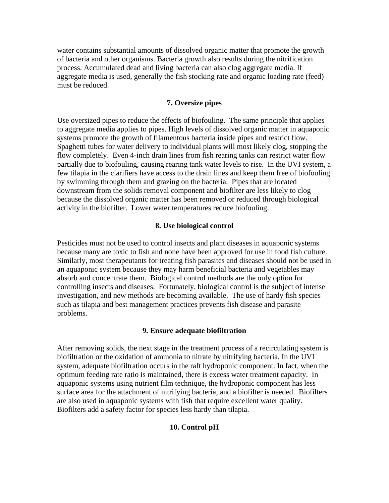water contains substantial amounts of dissolved organic matter that promote the growth of bacteria and other organisms. Bacteria growth also results during the nitrification process. Accumulated dead and living bacteria can also clog aggregate media. If aggregate media is used, generally the fish stocking rate and organic loading rate (feed) must be reduced.

## **7. Oversize pipes**

Use oversized pipes to reduce the effects of biofouling. The same principle that applies to aggregate media applies to pipes. High levels of dissolved organic matter in aquaponic systems promote the growth of filamentous bacteria inside pipes and restrict flow. Spaghetti tubes for water delivery to individual plants will most likely clog, stopping the flow completely. Even 4-inch drain lines from fish rearing tanks can restrict water flow partially due to biofouling, causing rearing tank water levels to rise. In the UVI system, a few tilapia in the clarifiers have access to the drain lines and keep them free of biofouling by swimming through them and grazing on the bacteria. Pipes that are located downstream from the solids removal component and biofilter are less likely to clog because the dissolved organic matter has been removed or reduced through biological activity in the biofilter. Lower water temperatures reduce biofouling.

# **8. Use biological control**

Pesticides must not be used to control insects and plant diseases in aquaponic systems because many are toxic to fish and none have been approved for use in food fish culture. Similarly, most therapeutants for treating fish parasites and diseases should not be used in an aquaponic system because they may harm beneficial bacteria and vegetables may absorb and concentrate them. Biological control methods are the only option for controlling insects and diseases. Fortunately, biological control is the subject of intense investigation, and new methods are becoming available. The use of hardy fish species such as tilapia and best management practices prevents fish disease and parasite problems.

### **9. Ensure adequate biofiltration**

After removing solids, the next stage in the treatment process of a recirculating system is biofiltration or the oxidation of ammonia to nitrate by nitrifying bacteria. In the UVI system, adequate biofiltration occurs in the raft hydroponic component. In fact, when the optimum feeding rate ratio is maintained, there is excess water treatment capacity. In aquaponic systems using nutrient film technique, the hydroponic component has less surface area for the attachment of nitrifying bacteria, and a biofilter is needed. Biofilters are also used in aquaponic systems with fish that require excellent water quality. Biofilters add a safety factor for species less hardy than tilapia.

### **10. Control pH**